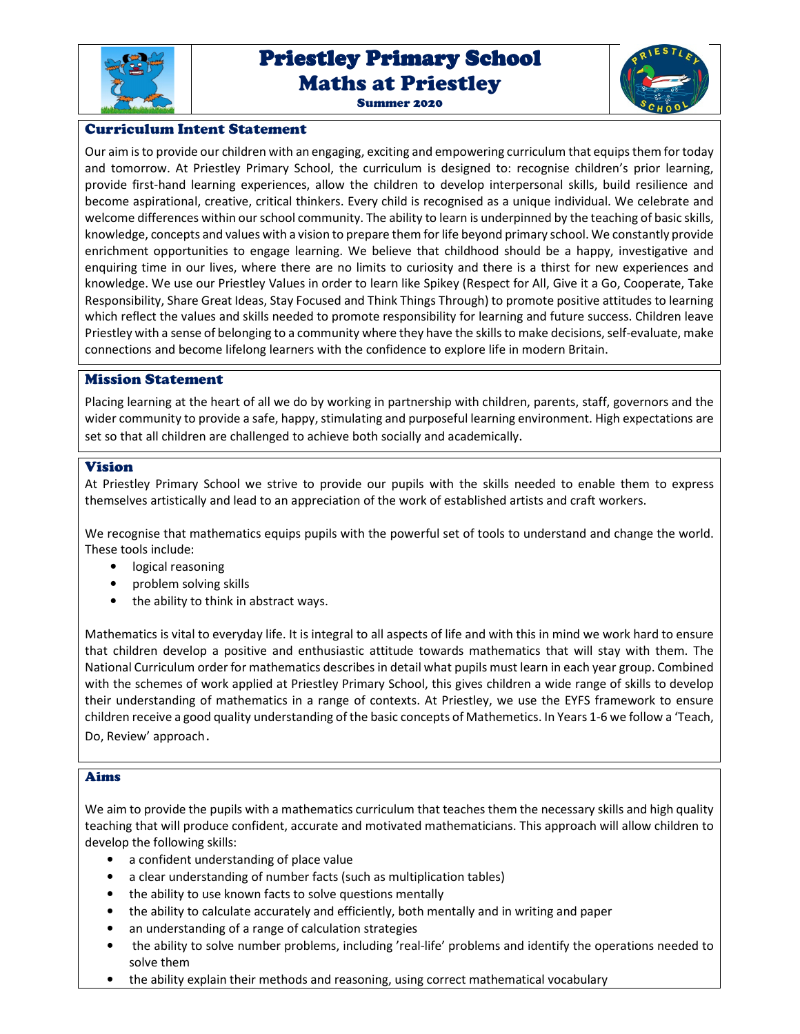

# Priestley Primary School Priestley Primary School Maths at Priestley





# Curriculum Intent Statement

Our aim is to provide our children with an engaging, exciting and empowering curriculum that equips them for today and tomorrow. At Priestley Primary School, the curriculum is designed to: recognise children's prior learning, provide first-hand learning experiences, allow the children to develop interpersonal skills, build resilience and become aspirational, creative, critical thinkers. Every child is recognised as a unique individual. We celebrate and welcome differences within our school community. The ability to learn is underpinned by the teaching of basic skills, knowledge, concepts and values with a vision to prepare them for life beyond primary school. We constantly provide enrichment opportunities to engage learning. We believe that childhood should be a happy, investigative and enquiring time in our lives, where there are no limits to curiosity and there is a thirst for new experiences and knowledge. We use our Priestley Values in order to learn like Spikey (Respect for All, Give it a Go, Cooperate, Take Responsibility, Share Great Ideas, Stay Focused and Think Things Through) to promote positive attitudes to learning which reflect the values and skills needed to promote responsibility for learning and future success. Children leave Priestley with a sense of belonging to a community where they have the skills to make decisions, self-evaluate, make connections and become lifelong learners with the confidence to explore life in modern Britain.

#### Mission Statement

Placing learning at the heart of all we do by working in partnership with children, parents, staff, governors and the wider community to provide a safe, happy, stimulating and purposeful learning environment. High expectations are set so that all children are challenged to achieve both socially and academically.

#### Vision

At Priestley Primary School we strive to provide our pupils with the skills needed to enable them to express themselves artistically and lead to an appreciation of the work of established artists and craft workers.

We recognise that mathematics equips pupils with the powerful set of tools to understand and change the world. These tools include:

- logical reasoning
- problem solving skills
- the ability to think in abstract ways.

Mathematics is vital to everyday life. It is integral to all aspects of life and with this in mind we work hard to ensure that children develop a positive and enthusiastic attitude towards mathematics that will stay with them. The National Curriculum order for mathematics describes in detail what pupils must learn in each year group. Combined with the schemes of work applied at Priestley Primary School, this gives children a wide range of skills to develop their understanding of mathematics in a range of contexts. At Priestley, we use the EYFS framework to ensure children receive a good quality understanding of the basic concepts of Mathemetics. In Years 1-6 we follow a 'Teach, Do, Review' approach.

#### Aims

We aim to provide the pupils with a mathematics curriculum that teaches them the necessary skills and high quality teaching that will produce confident, accurate and motivated mathematicians. This approach will allow children to develop the following skills:

- a confident understanding of place value
- a clear understanding of number facts (such as multiplication tables)
- the ability to use known facts to solve questions mentally
- the ability to calculate accurately and efficiently, both mentally and in writing and paper
- an understanding of a range of calculation strategies
- the ability to solve number problems, including 'real-life' problems and identify the operations needed to solve them
- the ability explain their methods and reasoning, using correct mathematical vocabulary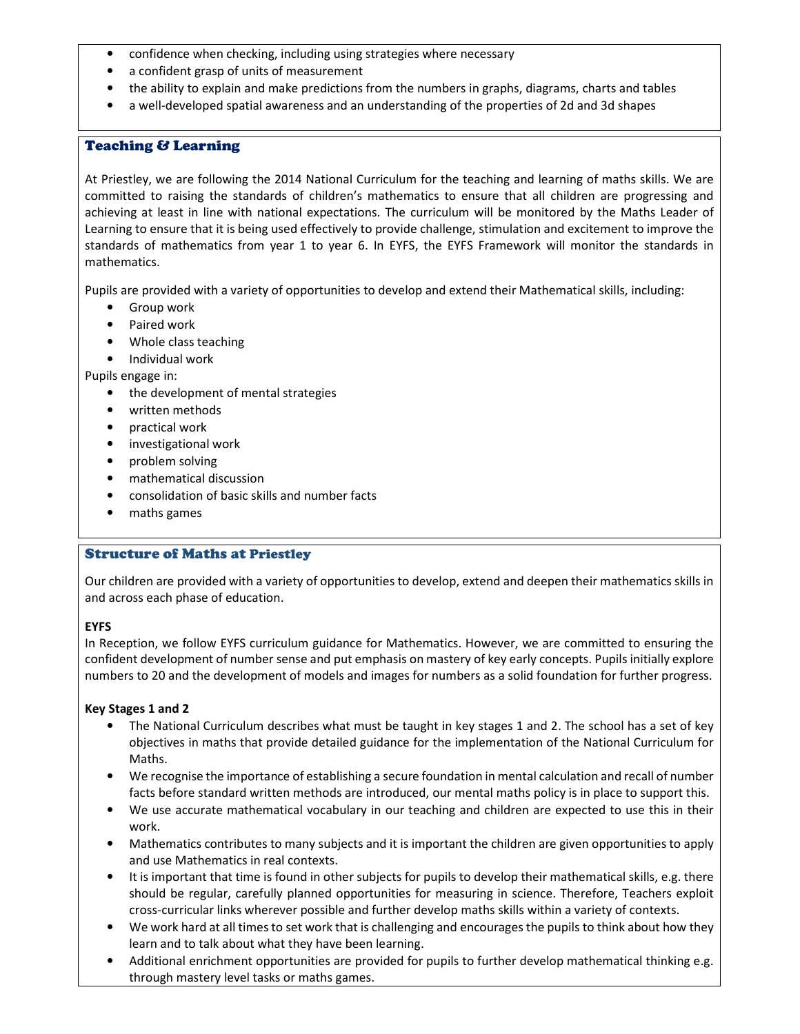- confidence when checking, including using strategies where necessary
- a confident grasp of units of measurement
- the ability to explain and make predictions from the numbers in graphs, diagrams, charts and tables
- a well-developed spatial awareness and an understanding of the properties of 2d and 3d shapes

## Teaching & Learning

At Priestley, we are following the 2014 National Curriculum for the teaching and learning of maths skills. We are committed to raising the standards of children's mathematics to ensure that all children are progressing and achieving at least in line with national expectations. The curriculum will be monitored by the Maths Leader of Learning to ensure that it is being used effectively to provide challenge, stimulation and excitement to improve the standards of mathematics from year 1 to year 6. In EYFS, the EYFS Framework will monitor the standards in mathematics.

Pupils are provided with a variety of opportunities to develop and extend their Mathematical skills, including:

- Group work
- Paired work
- Whole class teaching
- Individual work

Pupils engage in:

- the development of mental strategies
- written methods
- practical work
- investigational work
- problem solving
- mathematical discussion
- consolidation of basic skills and number facts
- maths games

## Structure of Maths at Priestley

Our children are provided with a variety of opportunities to develop, extend and deepen their mathematics skills in and across each phase of education.

#### **EYFS**

In Reception, we follow EYFS curriculum guidance for Mathematics. However, we are committed to ensuring the confident development of number sense and put emphasis on mastery of key early concepts. Pupils initially explore numbers to 20 and the development of models and images for numbers as a solid foundation for further progress.

#### **Key Stages 1 and 2**

- The National Curriculum describes what must be taught in key stages 1 and 2. The school has a set of key objectives in maths that provide detailed guidance for the implementation of the National Curriculum for Maths.
- We recognise the importance of establishing a secure foundation in mental calculation and recall of number facts before standard written methods are introduced, our mental maths policy is in place to support this.
- We use accurate mathematical vocabulary in our teaching and children are expected to use this in their work.
- Mathematics contributes to many subjects and it is important the children are given opportunities to apply and use Mathematics in real contexts.
- It is important that time is found in other subjects for pupils to develop their mathematical skills, e.g. there should be regular, carefully planned opportunities for measuring in science. Therefore, Teachers exploit cross-curricular links wherever possible and further develop maths skills within a variety of contexts.
- We work hard at all times to set work that is challenging and encourages the pupils to think about how they learn and to talk about what they have been learning.
- Additional enrichment opportunities are provided for pupils to further develop mathematical thinking e.g. through mastery level tasks or maths games.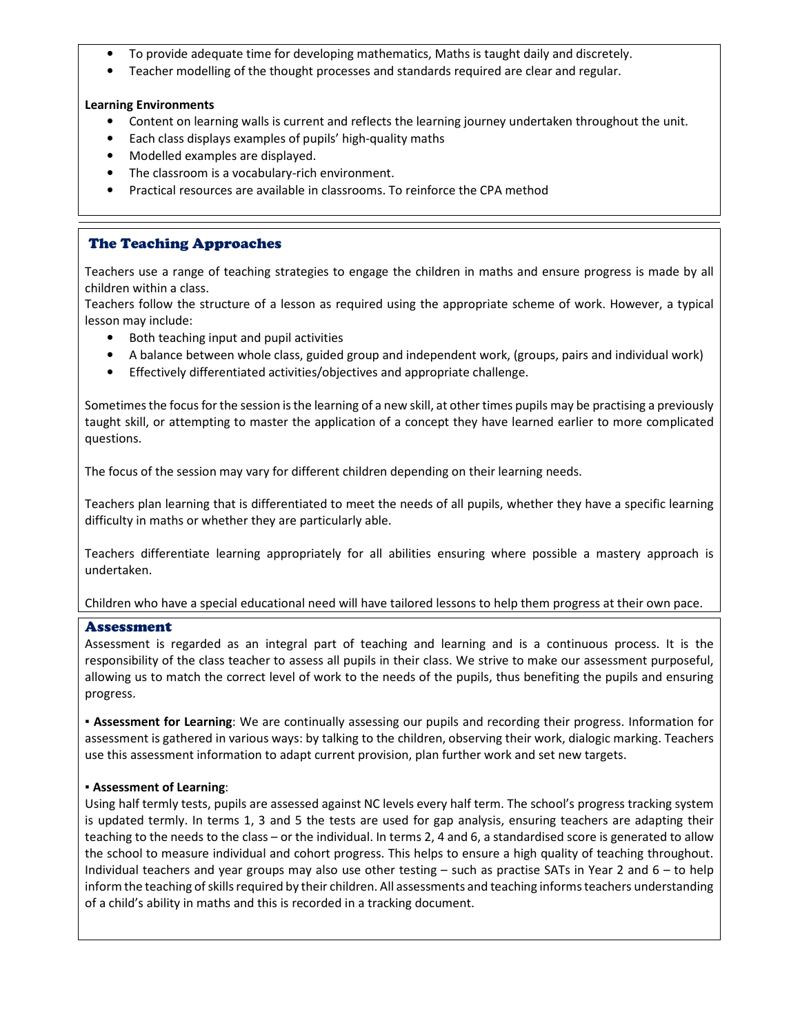- To provide adequate time for developing mathematics, Maths is taught daily and discretely.
- Teacher modelling of the thought processes and standards required are clear and regular.

## **Learning Environments**

- Content on learning walls is current and reflects the learning journey undertaken throughout the unit.
- Each class displays examples of pupils' high-quality maths
- Modelled examples are displayed.
- The classroom is a vocabulary-rich environment.
- Practical resources are available in classrooms. To reinforce the CPA method

# The Teaching Approaches

Teachers use a range of teaching strategies to engage the children in maths and ensure progress is made by all children within a class.

Teachers follow the structure of a lesson as required using the appropriate scheme of work. However, a typical lesson may include:

- Both teaching input and pupil activities
- A balance between whole class, guided group and independent work, (groups, pairs and individual work)
- Effectively differentiated activities/objectives and appropriate challenge.

Sometimes the focus for the session is the learning of a new skill, at other times pupils may be practising a previously taught skill, or attempting to master the application of a concept they have learned earlier to more complicated questions.

The focus of the session may vary for different children depending on their learning needs.

Teachers plan learning that is differentiated to meet the needs of all pupils, whether they have a specific learning difficulty in maths or whether they are particularly able.

Teachers differentiate learning appropriately for all abilities ensuring where possible a mastery approach is undertaken.

#### Children who have a special educational need will have tailored lessons to help them progress at their own pace.

#### Assessment

Assessment is regarded as an integral part of teaching and learning and is a continuous process. It is the responsibility of the class teacher to assess all pupils in their class. We strive to make our assessment purposeful, allowing us to match the correct level of work to the needs of the pupils, thus benefiting the pupils and ensuring progress.

**▪ Assessment for Learning**: We are continually assessing our pupils and recording their progress. Information for assessment is gathered in various ways: by talking to the children, observing their work, dialogic marking. Teachers use this assessment information to adapt current provision, plan further work and set new targets.

#### ▪ **Assessment of Learning**:

Using half termly tests, pupils are assessed against NC levels every half term. The school's progress tracking system is updated termly. In terms 1, 3 and 5 the tests are used for gap analysis, ensuring teachers are adapting their teaching to the needs to the class – or the individual. In terms 2, 4 and 6, a standardised score is generated to allow the school to measure individual and cohort progress. This helps to ensure a high quality of teaching throughout. Individual teachers and year groups may also use other testing – such as practise SATs in Year 2 and 6 – to help inform the teaching of skills required by their children. All assessments and teaching informs teachers understanding of a child's ability in maths and this is recorded in a tracking document.